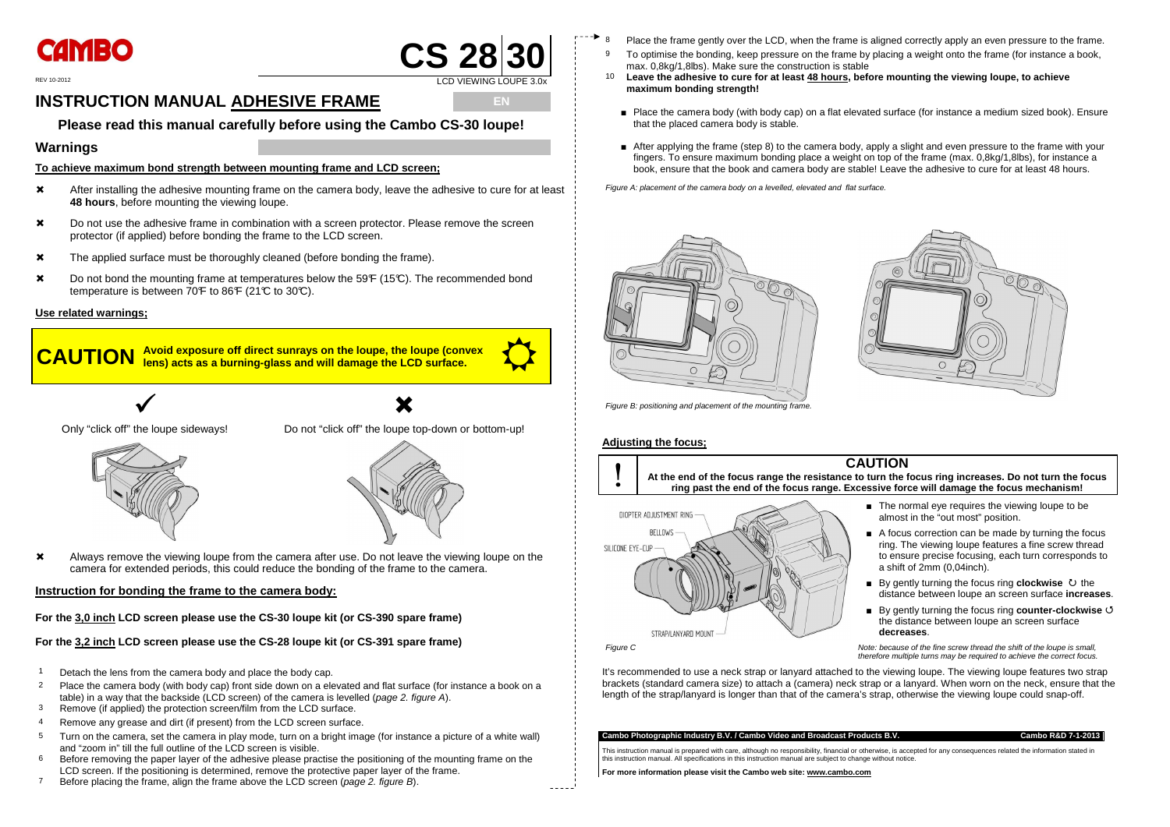

### REV 10-2012 **LCD VIEWING LOUPE 3.0x**

## **INSTRUCTION MANUAL ADHESIVE FRAME**

## **E Please read this manual carefully before using the Cambo CS-30 loupe!**

- After installing the adhesive mounting frame on the camera body, leave the adhesive to cure for at least **48 hours**, before mounting the viewing loupe.
- $\boldsymbol{\times}$  Do not use the adhesive frame in combination with a screen protector. Please remove the screen protector (if applied) before bonding the frame to the LCD screen.
- **\*** The applied surface must be thoroughly cleaned (before bonding the frame).
- **\*** Do not bond the mounting frame at temperatures below the 59<sup>°</sup>F (15<sup>°</sup>C). The recommended bond temperature is between  $70F$  to 86 $F$  (21°C to 30°C).

### **Warnings**

**To achieve maximum bond strength between mounting frame and LCD screen;**

**X** Always remove the viewing loupe from the camera after use. Do not leave the viewing loupe on the camera for extended periods, this could reduce the bonding of the frame to the camera.

- 1 Detach the lens from the camera body and place the body cap.
- 2 Place the camera body (with body cap) front side down on a elevated and flat surface (for instance a book on a table) in a way that the backside (LCD screen) of the camera is levelled (*page 2. figure A*).
- 3 Remove (if applied) the protection screen/film from the LCD surface.
- 4 Remove any grease and dirt (if present) from the LCD screen surface.
- 5 Turn on the camera, set the camera in play mode, turn on a bright image (for instance a picture of a white wall) and "zoom in" till the full outline of the LCD screen is visible.
- $6$  Before removing the paper layer of the adhesive please practise the positioning of the mounting frame on the LCD screen. If the positioning is determined, remove the protective paper layer of the frame.
- <sup>7</sup> Before placing the frame, align the frame above the LCD screen (*page 2. figure B*).

### **Use related warnings;**

**CAUTION**

**Avoid exposure off direct sunrays on the loupe, the loupe (convex and all pays) acts as a burning-glass and will damage the LCD surface.** 



Only "click off" the loupe sideways!

 $\checkmark$ 



 $\bigvee$ <br>the loupe sideways! Do not "click off" the loupe top-down or bottom-up!



### **Instruction for bonding the frame to the camera body:**

**For the 3,0 inch LCD screen please use the CS-30 loupe kit (or CS-390 spare frame)** 

**For the 3,2 inch LCD screen please use the CS-28 loupe kit (or CS-391 spare frame)** 

- Place the frame gently over the LCD, when the frame is aligned correctly apply an even pressure to the frame.
- 9 To optimise the bonding, keep pressure on the frame by placing a weight onto the frame (for instance a book, max. 0,8kg/1,8lbs). Make sure the construction is stable
- 10 **Leave the adhesive to cure for at least 48 hours, before mounting the viewing loupe, to achieve maximum bonding strength!** 
	- Place the camera body (with body cap) on a flat elevated surface (for instance a medium sized book). Ensure that the placed camera body is stable.
	- After applying the frame (step 8) to the camera body, apply a slight and even pressure to the frame with your<br>
	∴ fingers. To ensure maximum bonding place a weight on top of the frame (max. 0,8kg/1,8lbs), for instance a book, ensure that the book and camera body are stable! Leave the adhesive to cure for at least 48 hours.

■ The normal eye requires the viewing loupe to be almost in the "out most" position.

■ A focus correction can be made by turning the focus ring. The viewing loupe features a fine screw thread to ensure precise focusing, each turn corresponds to a shift of 2mm (0,04inch).

■ By gently turning the focus ring **counter-clockwise 5** the distance between loupe an screen surface **decreases**.

Figure A: placement of the camera body on a levelled, elevated and flat surface.





Figure B: positioning and placement of the mounting frame.

### **Adjusting the focus;**

 $\frac{1}{2}$   $\frac{1}{2}$   $\frac{1}{2}$   $\frac{1}{2}$   $\frac{1}{2}$ 



■ By gently turning the focus ring **clockwise** the distance between loupe an screen surface **increases**.

 Note: because of the fine screw thread the shift of the loupe is small, therefore multiple turns may be required to achieve the correct focus.

It's recommended to use a neck strap or lanyard attached to the viewing loupe. The viewing loupe features two strap brackets (standard camera size) to attach a (camera) neck strap or a lanyard. When worn on the neck, ensure that the length of the strap/lanyard is longer than that of the camera's strap, otherwise the viewing loupe could snap-off.

### **Cambo Photographic Industry B.V. / Cambo Video and Broadcast Products B.V.**

**Cambo R&D 7-1-2013**

This instruction manual is prepared with care, although no responsibility, financial or otherwise, is accepted for any consequences related the information stated in this instruction manual. All specifications in this instruction manual are subject to change without notice.

**For more information please visit the Cambo web site: www.cambo.com**

CS 28 30